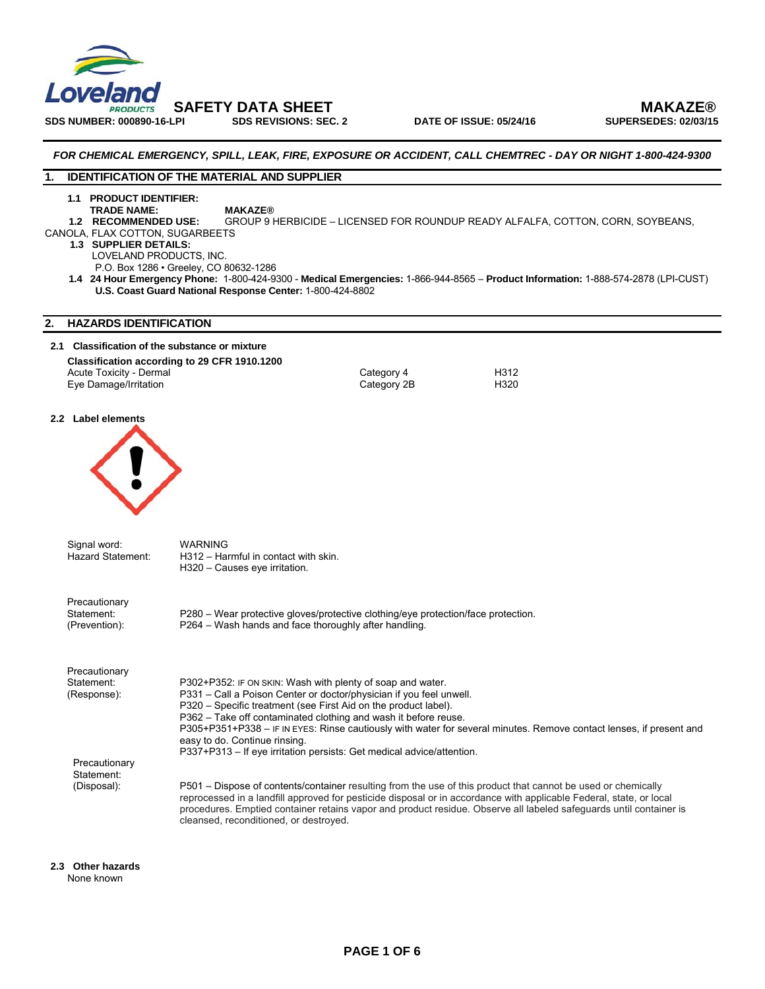

 **SAFETY DATA SHEET MAKAZE®** 

# *FOR CHEMICAL EMERGENCY, SPILL, LEAK, FIRE, EXPOSURE OR ACCIDENT, CALL CHEMTREC - DAY OR NIGHT 1-800-424-9300*

# **1. IDENTIFICATION OF THE MATERIAL AND SUPPLIER**

# **1.1 PRODUCT IDENTIFIER:**

**TRADE NAME:** MAKAZE®<br>1.2 RECOMMENDED USE: GROUP 9 H GROUP 9 HERBICIDE – LICENSED FOR ROUNDUP READY ALFALFA, COTTON, CORN, SOYBEANS,

- CANOLA, FLAX COTTON, SUGARBEETS
	- **1.3 SUPPLIER DETAILS:** LOVELAND PRODUCTS, INC.

P.O. Box 1286 • Greeley, CO 80632-1286

 **1.4 24 Hour Emergency Phone:** 1-800-424-9300 - **Medical Emergencies:** 1-866-944-8565 – **Product Information:** 1-888-574-2878 (LPI-CUST) **U.S. Coast Guard National Response Center:** 1-800-424-8802

# **2. HAZARDS IDENTIFICATION**

### **2.1 Classification of the substance or mixture**

### **Classification according to 29 CFR 1910.1200**  Acute Toxicity - Dermal **Acute Toxicity - Dermal Category 4** Category 4 H312<br>
Eye Damage/Irritation **Category 2B** H320 Eye Damage/Irritation

### **2.2 Label elements**



| Signal word:<br><b>Hazard Statement:</b>     | <b>WARNING</b><br>H312 - Harmful in contact with skin.<br>H320 - Causes eye irritation.                                                                                                                                                                                                                                                                                                                                                                                                                  |
|----------------------------------------------|----------------------------------------------------------------------------------------------------------------------------------------------------------------------------------------------------------------------------------------------------------------------------------------------------------------------------------------------------------------------------------------------------------------------------------------------------------------------------------------------------------|
| Precautionary<br>Statement:<br>(Prevention): | P280 – Wear protective gloves/protective clothing/eye protection/face protection.<br>P264 – Wash hands and face thoroughly after handling.                                                                                                                                                                                                                                                                                                                                                               |
| Precautionary<br>Statement:<br>(Response):   | P302+P352: IF ON SKIN: Wash with plenty of soap and water.<br>P331 – Call a Poison Center or doctor/physician if you feel unwell.<br>P320 – Specific treatment (see First Aid on the product label).<br>P362 – Take off contaminated clothing and wash it before reuse.<br>P305+P351+P338 – IF IN EYES: Rinse cautiously with water for several minutes. Remove contact lenses, if present and<br>easy to do. Continue rinsing.<br>P337+P313 – If eye irritation persists: Get medical advice/attention. |
| Precautionary<br>Statement:<br>(Disposal):   | P501 – Dispose of contents/container resulting from the use of this product that cannot be used or chemically<br>reprocessed in a landfill approved for pesticide disposal or in accordance with applicable Federal, state, or local<br>procedures. Emptied container retains vapor and product residue. Observe all labeled safeguards until container is<br>cleansed, reconditioned, or destroyed.                                                                                                     |

**2.3 Other hazards**  None known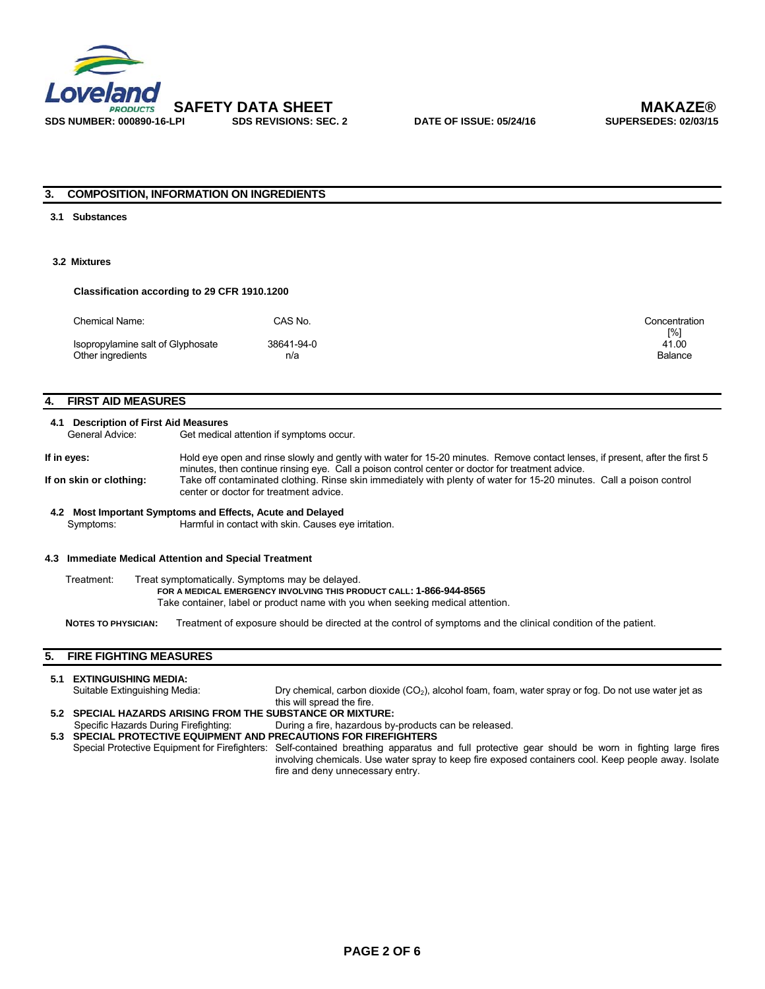

# **3. COMPOSITION, INFORMATION ON INGREDIENTS**

#### **3.1 Substances**

# **3.2 Mixtures**

### **Classification according to 29 CFR 1910.1200**

| Chemical Name:                    | CAS No.    | Concentration |
|-----------------------------------|------------|---------------|
| Isopropylamine salt of Glyphosate | 38641-94-0 | [%]<br>41.00  |
| Other ingredients                 | n/a        | Balance       |

# **4. FIRST AID MEASURES**

#### **4.1 Description of First Aid Measures**

General Advice: Get medical attention if symptoms occur.

If in eyes: Hold eye open and rinse slowly and gently with water for 15-20 minutes. Remove contact lenses, if present, after the first 5 minutes, then continue rinsing eye. Call a poison control center or doctor for treatment advice. **If on skin or clothing:** Take off contaminated clothing. Rinse skin immediately with plenty of water for 15-20 minutes. Call a poison control center or doctor for treatment advice.

#### **4.2 Most Important Symptoms and Effects, Acute and Delayed**  Harmful in contact with skin. Causes eye irritation.

#### **4.3 Immediate Medical Attention and Special Treatment**

Treatment: Treat symptomatically. Symptoms may be delayed.  **FOR A MEDICAL EMERGENCY INVOLVING THIS PRODUCT CALL: 1-866-944-8565**  Take container, label or product name with you when seeking medical attention.

**NOTES TO PHYSICIAN:** Treatment of exposure should be directed at the control of symptoms and the clinical condition of the patient.

# **5. FIRE FIGHTING MEASURES**

| 5.1 EXTINGUISHING MEDIA:                                          |                                                                                                                                                                                                                                                                                               |
|-------------------------------------------------------------------|-----------------------------------------------------------------------------------------------------------------------------------------------------------------------------------------------------------------------------------------------------------------------------------------------|
| Suitable Extinguishing Media:                                     | Dry chemical, carbon dioxide $(CO2)$ , alcohol foam, foam, water spray or fog. Do not use water jet as                                                                                                                                                                                        |
|                                                                   | this will spread the fire.                                                                                                                                                                                                                                                                    |
| 5.2 SPECIAL HAZARDS ARISING FROM THE SUBSTANCE OR MIXTURE:        |                                                                                                                                                                                                                                                                                               |
| Specific Hazards During Firefighting:                             | During a fire, hazardous by-products can be released.                                                                                                                                                                                                                                         |
| 5.3 SPECIAL PROTECTIVE EQUIPMENT AND PRECAUTIONS FOR FIREFIGHTERS |                                                                                                                                                                                                                                                                                               |
|                                                                   | Special Protective Equipment for Firefighters: Self-contained breathing apparatus and full protective gear should be worn in fighting large fires<br>involving chemicals. Use water spray to keep fire exposed containers cool. Keep people away. Isolate<br>fire and deny unnecessary entry. |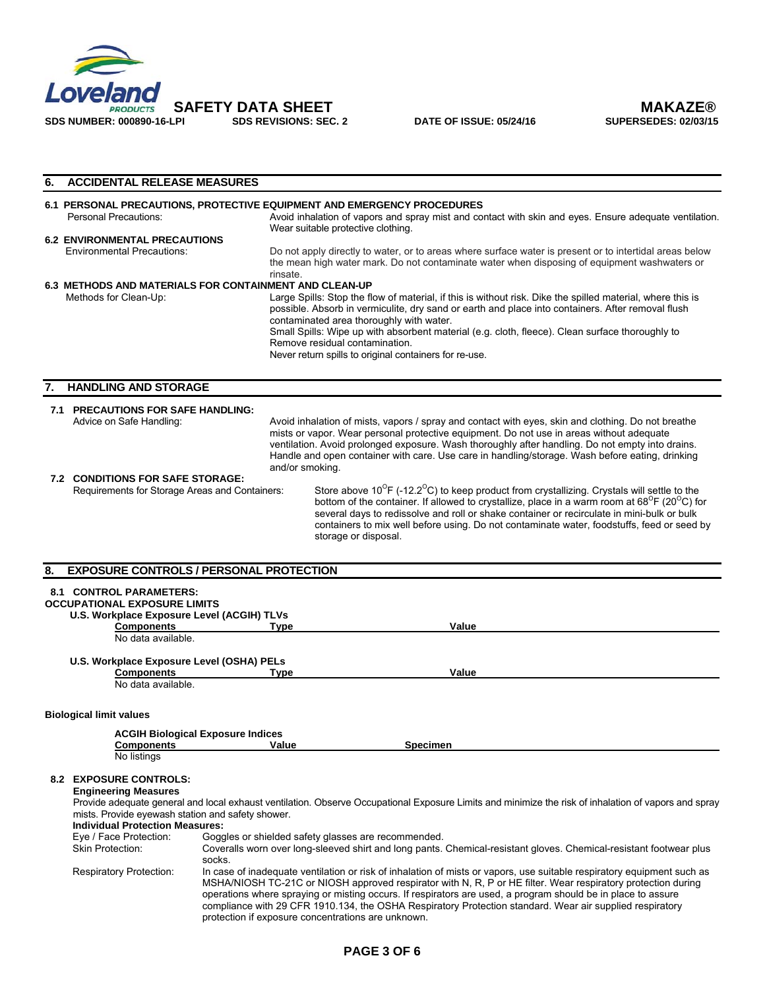

**DATE OF ISSUE: 05/24/16** 

| 6. | <b>ACCIDENTAL RELEASE MEASURES</b>                                                                                                                                                                                                                 |                                                                                                                                                                                                                                                                                                                                                                                                                                                                                                                      |
|----|----------------------------------------------------------------------------------------------------------------------------------------------------------------------------------------------------------------------------------------------------|----------------------------------------------------------------------------------------------------------------------------------------------------------------------------------------------------------------------------------------------------------------------------------------------------------------------------------------------------------------------------------------------------------------------------------------------------------------------------------------------------------------------|
|    |                                                                                                                                                                                                                                                    | 6.1 PERSONAL PRECAUTIONS, PROTECTIVE EQUIPMENT AND EMERGENCY PROCEDURES                                                                                                                                                                                                                                                                                                                                                                                                                                              |
|    | <b>Personal Precautions:</b>                                                                                                                                                                                                                       | Avoid inhalation of vapors and spray mist and contact with skin and eyes. Ensure adequate ventilation.<br>Wear suitable protective clothing.                                                                                                                                                                                                                                                                                                                                                                         |
|    | <b>6.2 ENVIRONMENTAL PRECAUTIONS</b><br><b>Environmental Precautions:</b>                                                                                                                                                                          | Do not apply directly to water, or to areas where surface water is present or to intertidal areas below<br>the mean high water mark. Do not contaminate water when disposing of equipment washwaters or<br>rinsate.                                                                                                                                                                                                                                                                                                  |
|    | Methods for Clean-Up:                                                                                                                                                                                                                              | 6.3 METHODS AND MATERIALS FOR CONTAINMENT AND CLEAN-UP<br>Large Spills: Stop the flow of material, if this is without risk. Dike the spilled material, where this is<br>possible. Absorb in vermiculite, dry sand or earth and place into containers. After removal flush<br>contaminated area thoroughly with water.<br>Small Spills: Wipe up with absorbent material (e.g. cloth, fleece). Clean surface thoroughly to<br>Remove residual contamination.<br>Never return spills to original containers for re-use. |
| 7. | <b>HANDLING AND STORAGE</b>                                                                                                                                                                                                                        |                                                                                                                                                                                                                                                                                                                                                                                                                                                                                                                      |
|    | 7.1 PRECAUTIONS FOR SAFE HANDLING:<br>Advice on Safe Handling:                                                                                                                                                                                     | Avoid inhalation of mists, vapors / spray and contact with eyes, skin and clothing. Do not breathe<br>mists or vapor. Wear personal protective equipment. Do not use in areas without adequate<br>ventilation. Avoid prolonged exposure. Wash thoroughly after handling. Do not empty into drains.<br>Handle and open container with care. Use care in handling/storage. Wash before eating, drinking<br>and/or smoking.                                                                                             |
|    | <b>7.2 CONDITIONS FOR SAFE STORAGE:</b><br>Requirements for Storage Areas and Containers:                                                                                                                                                          | Store above $10^{\circ}$ F (-12.2 $^{\circ}$ C) to keep product from crystallizing. Crystals will settle to the<br>bottom of the container. If allowed to crystallize, place in a warm room at 68 <sup>°</sup> F (20 <sup>°</sup> C) for<br>several days to redissolve and roll or shake container or recirculate in mini-bulk or bulk<br>containers to mix well before using. Do not contaminate water, foodstuffs, feed or seed by<br>storage or disposal.                                                         |
| 8. |                                                                                                                                                                                                                                                    | <b>EXPOSURE CONTROLS / PERSONAL PROTECTION</b>                                                                                                                                                                                                                                                                                                                                                                                                                                                                       |
|    | <b>8.1 CONTROL PARAMETERS:</b><br><b>OCCUPATIONAL EXPOSURE LIMITS</b><br>U.S. Workplace Exposure Level (ACGIH) TLVs<br><b>Components</b>                                                                                                           | <b>Type</b><br>Value                                                                                                                                                                                                                                                                                                                                                                                                                                                                                                 |
|    | No data available.                                                                                                                                                                                                                                 |                                                                                                                                                                                                                                                                                                                                                                                                                                                                                                                      |
|    | U.S. Workplace Exposure Level (OSHA) PELs<br><b>Components</b><br>No data available.                                                                                                                                                               | Type<br>Value                                                                                                                                                                                                                                                                                                                                                                                                                                                                                                        |
|    | <b>Biological limit values</b>                                                                                                                                                                                                                     |                                                                                                                                                                                                                                                                                                                                                                                                                                                                                                                      |
|    |                                                                                                                                                                                                                                                    | <b>ACGIH Biological Exposure Indices</b>                                                                                                                                                                                                                                                                                                                                                                                                                                                                             |
|    | <b>Components</b><br>No listings                                                                                                                                                                                                                   | Value<br><b>Specimen</b>                                                                                                                                                                                                                                                                                                                                                                                                                                                                                             |
|    | <b>8.2 EXPOSURE CONTROLS:</b><br><b>Engineering Measures</b><br>mists. Provide eyewash station and safety shower.<br><b>Individual Protection Measures:</b><br>Eye / Face Protection:<br><b>Skin Protection:</b><br><b>Respiratory Protection:</b> | Provide adequate general and local exhaust ventilation. Observe Occupational Exposure Limits and minimize the risk of inhalation of vapors and spray<br>Goggles or shielded safety glasses are recommended.<br>Coveralls worn over long-sleeved shirt and long pants. Chemical-resistant gloves. Chemical-resistant footwear plus<br>socks.<br>In case of inadequate ventilation or risk of inhalation of mists or vapors, use suitable respiratory equipment such as                                                |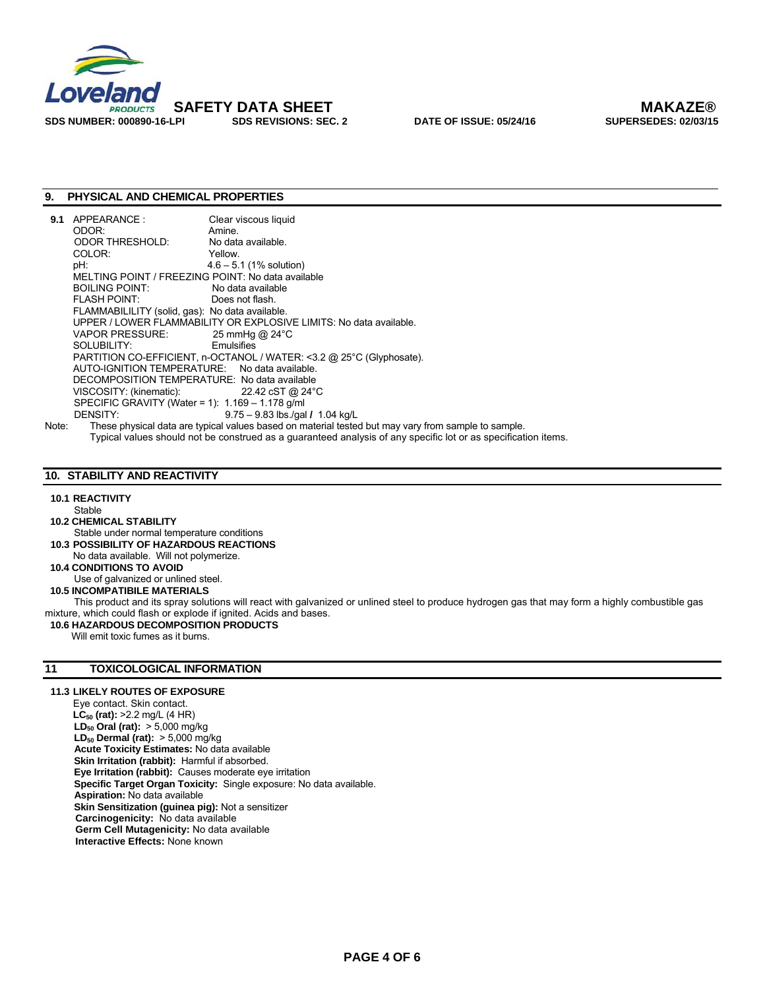

# **9. PHYSICAL AND CHEMICAL PROPERTIES**

| APPEARANCE:         | Clear viscous liquid                                                                                                                                                                                                                                                                                                                                                                                                      |
|---------------------|---------------------------------------------------------------------------------------------------------------------------------------------------------------------------------------------------------------------------------------------------------------------------------------------------------------------------------------------------------------------------------------------------------------------------|
| ODOR:               | Amine.                                                                                                                                                                                                                                                                                                                                                                                                                    |
| ODOR THRESHOLD:     | No data available.                                                                                                                                                                                                                                                                                                                                                                                                        |
| COLOR:              | Yellow.                                                                                                                                                                                                                                                                                                                                                                                                                   |
| pH:                 | $4.6 - 5.1$ (1% solution)                                                                                                                                                                                                                                                                                                                                                                                                 |
|                     |                                                                                                                                                                                                                                                                                                                                                                                                                           |
| BOILING POINT:      | No data available                                                                                                                                                                                                                                                                                                                                                                                                         |
| <b>FLASH POINT:</b> | Does not flash.                                                                                                                                                                                                                                                                                                                                                                                                           |
|                     |                                                                                                                                                                                                                                                                                                                                                                                                                           |
|                     | UPPER / LOWER FLAMMABILITY OR EXPLOSIVE LIMITS: No data available.                                                                                                                                                                                                                                                                                                                                                        |
|                     |                                                                                                                                                                                                                                                                                                                                                                                                                           |
|                     |                                                                                                                                                                                                                                                                                                                                                                                                                           |
|                     | PARTITION CO-EFFICIENT, n-OCTANOL / WATER: <3.2 @ 25°C (Glyphosate).                                                                                                                                                                                                                                                                                                                                                      |
|                     |                                                                                                                                                                                                                                                                                                                                                                                                                           |
|                     |                                                                                                                                                                                                                                                                                                                                                                                                                           |
|                     |                                                                                                                                                                                                                                                                                                                                                                                                                           |
|                     |                                                                                                                                                                                                                                                                                                                                                                                                                           |
| DENSITY:            | $9.75 - 9.83$ lbs /qal / 1.04 kg/L                                                                                                                                                                                                                                                                                                                                                                                        |
|                     | These physical data are typical values based on material tested but may vary from sample to sample.                                                                                                                                                                                                                                                                                                                       |
|                     | MELTING POINT / FREEZING POINT: No data available<br>FLAMMABILILITY (solid, gas): No data available.<br>VAPOR PRESSURE: $25 \text{ mmHg}$ @ 24 °C<br>SOLUBILITY: Emulsifies<br>AUTO-IGNITION TEMPERATURE: No data available.<br>DECOMPOSITION TEMPERATURE: No data available<br>VISCOSITY: (kinematic): $22.42 \text{ cST} \text{ @ } 24^{\circ} \text{C}$<br>SPECIFIC GRAVITY (Water = 1): $1.169 - 1.178$ g/ml<br>Note: |

Typical values should not be construed as a guaranteed analysis of any specific lot or as specification items.

# **10. STABILITY AND REACTIVITY**

# **10.1 REACTIVITY**

- Stable
- **10.2 CHEMICAL STABILITY**
- Stable under normal temperature conditions **10.3 POSSIBILITY OF HAZARDOUS REACTIONS**
- No data available. Will not polymerize.
- **10.4 CONDITIONS TO AVOID**

Use of galvanized or unlined steel.

 **10.5 INCOMPATIBILE MATERIALS** 

This product and its spray solutions will react with galvanized or unlined steel to produce hydrogen gas that may form a highly combustible gas mixture, which could flash or explode if ignited. Acids and bases.

 **10.6 HAZARDOUS DECOMPOSITION PRODUCTS** 

Will emit toxic fumes as it burns.

# **11 TOXICOLOGICAL INFORMATION**

#### **11.3 LIKELY ROUTES OF EXPOSURE**

Eye contact. Skin contact. **LC<sub>50</sub>** (rat):  $>2.2$  mg/L (4 HR) **LD<sub>50</sub> Oral (rat):** > 5,000 mg/kg **LD<sub>50</sub> Dermal (rat):** > 5,000 mg/kg **Acute Toxicity Estimates:** No data available **Skin Irritation (rabbit):** Harmful if absorbed.  **Eye Irritation (rabbit):** Causes moderate eye irritation  **Specific Target Organ Toxicity:** Single exposure: No data available. **Aspiration:** No data available **Skin Sensitization (guinea pig):** Not a sensitizer  **Carcinogenicity:** No data available **Germ Cell Mutagenicity:** No data available **Interactive Effects:** None known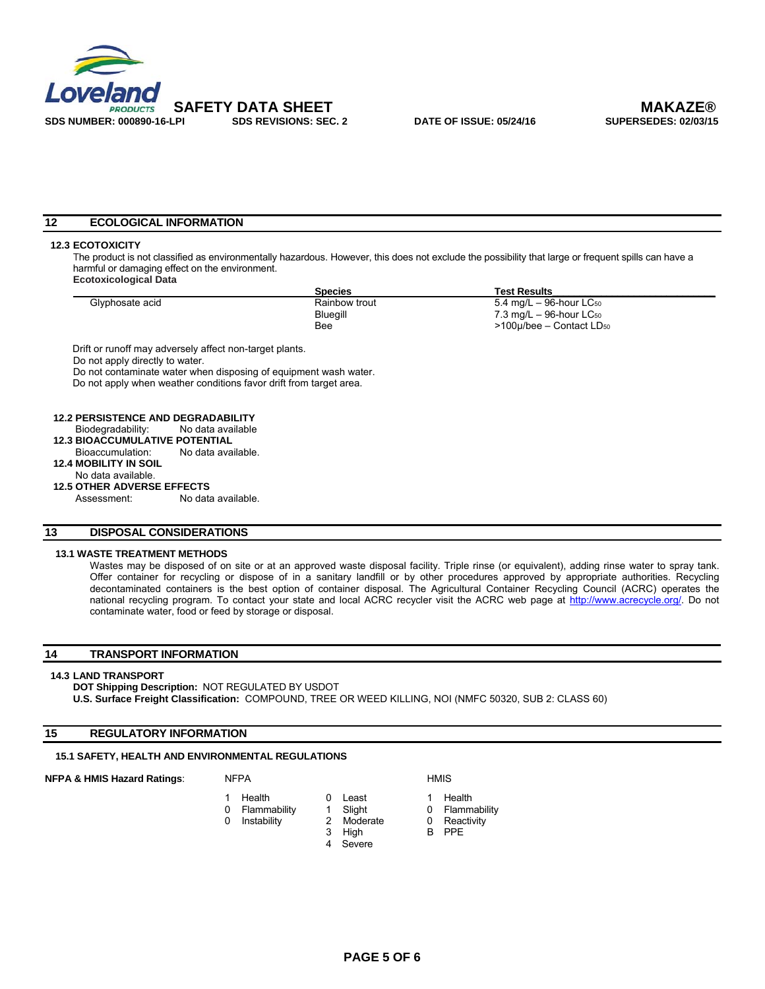

 **SAFETY DATA SHEET MAKAZE®** 

# **12 ECOLOGICAL INFORMATION**

# **12.3 ECOTOXICITY**

The product is not classified as environmentally hazardous. However, this does not exclude the possibility that large or frequent spills can have a harmful or damaging effect on the environment. **Ecotoxicological Data** 

|                 | <b>Species</b> | <b>Test Results</b>                       |
|-----------------|----------------|-------------------------------------------|
| Glyphosate acid | Rainbow trout  | 5.4 mg/L – 96-hour LC <sub>50</sub>       |
|                 | Bluegill       | $7.3 \text{ mg/L} - 96$ -hour LC $_{50}$  |
|                 | Bee            | $>100\mu$ /bee – Contact LD <sub>50</sub> |

Do not apply directly to water.

Do not contaminate water when disposing of equipment wash water. Do not apply when weather conditions favor drift from target area.

 **12.2 PERSISTENCE AND DEGRADABILITY** 

- Biodegradability: No data available
- **12.3 BIOACCUMULATIVE POTENTIAL**<br>Bioaccumulation: No data ava
	- No data available.
- **12.4 MOBILITY IN SOIL**

#### No data available. **12.5 OTHER ADVERSE EFFECTS**

Assessment: No data available.

# **13 DISPOSAL CONSIDERATIONS**

#### **13.1 WASTE TREATMENT METHODS**

Wastes may be disposed of on site or at an approved waste disposal facility. Triple rinse (or equivalent), adding rinse water to spray tank. Offer container for recycling or dispose of in a sanitary landfill or by other procedures approved by appropriate authorities. Recycling decontaminated containers is the best option of container disposal. The Agricultural Container Recycling Council (ACRC) operates the national recycling program. To contact your state and local ACRC recycler visit the ACRC web page at http://www.acrecycle.org/. Do not contaminate water, food or feed by storage or disposal.

# **14 TRANSPORT INFORMATION**

#### **14.3 LAND TRANSPORT**

**DOT Shipping Description:** NOT REGULATED BY USDOT **U.S. Surface Freight Classification:** COMPOUND, TREE OR WEED KILLING, NOI (NMFC 50320, SUB 2: CLASS 60)

# **15 REGULATORY INFORMATION**

# **15.1 SAFETY, HEALTH AND ENVIRONMENTAL REGULATIONS**

# **NFPA & HMIS Hazard Ratings:** NFPA **HMIS** HMIS

- 1 Health 0 Least 1 Health<br>0 Flammability 1 Slight 0 Flammability
- 0 Flammability 1 Slight 0<br>0 Instability 2 Moderate 0
	- - 4 Severe
- 
- 
- 0 Instability 2 Moderate 0 Reactivity
- 3 High B PPE
	-